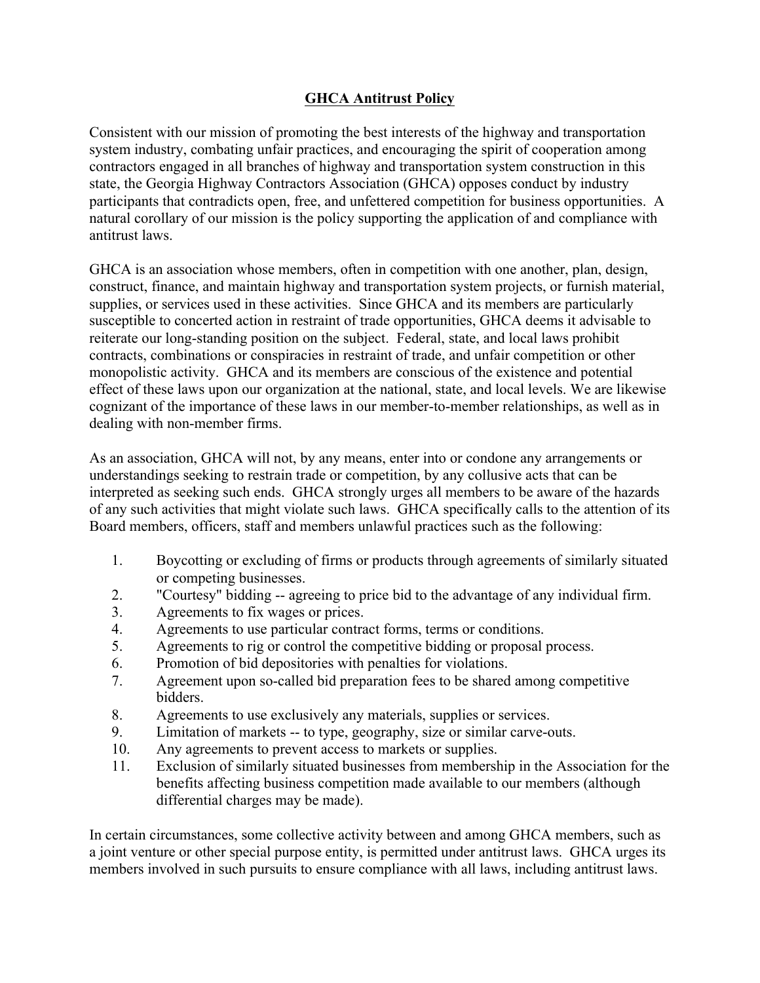## **GHCA Antitrust Policy**

Consistent with our mission of promoting the best interests of the highway and transportation system industry, combating unfair practices, and encouraging the spirit of cooperation among contractors engaged in all branches of highway and transportation system construction in this state, the Georgia Highway Contractors Association (GHCA) opposes conduct by industry participants that contradicts open, free, and unfettered competition for business opportunities. A natural corollary of our mission is the policy supporting the application of and compliance with antitrust laws.

GHCA is an association whose members, often in competition with one another, plan, design, construct, finance, and maintain highway and transportation system projects, or furnish material, supplies, or services used in these activities. Since GHCA and its members are particularly susceptible to concerted action in restraint of trade opportunities, GHCA deems it advisable to reiterate our long-standing position on the subject. Federal, state, and local laws prohibit contracts, combinations or conspiracies in restraint of trade, and unfair competition or other monopolistic activity. GHCA and its members are conscious of the existence and potential effect of these laws upon our organization at the national, state, and local levels. We are likewise cognizant of the importance of these laws in our member-to-member relationships, as well as in dealing with non-member firms.

As an association, GHCA will not, by any means, enter into or condone any arrangements or understandings seeking to restrain trade or competition, by any collusive acts that can be interpreted as seeking such ends. GHCA strongly urges all members to be aware of the hazards of any such activities that might violate such laws. GHCA specifically calls to the attention of its Board members, officers, staff and members unlawful practices such as the following:

- 1. Boycotting or excluding of firms or products through agreements of similarly situated or competing businesses.
- 2. "Courtesy" bidding -- agreeing to price bid to the advantage of any individual firm.
- 3. Agreements to fix wages or prices.
- 4. Agreements to use particular contract forms, terms or conditions.
- 5. Agreements to rig or control the competitive bidding or proposal process.
- 6. Promotion of bid depositories with penalties for violations.
- 7. Agreement upon so-called bid preparation fees to be shared among competitive bidders.
- 8. Agreements to use exclusively any materials, supplies or services.
- 9. Limitation of markets -- to type, geography, size or similar carve-outs.
- 10. Any agreements to prevent access to markets or supplies.
- 11. Exclusion of similarly situated businesses from membership in the Association for the benefits affecting business competition made available to our members (although differential charges may be made).

In certain circumstances, some collective activity between and among GHCA members, such as a joint venture or other special purpose entity, is permitted under antitrust laws. GHCA urges its members involved in such pursuits to ensure compliance with all laws, including antitrust laws.